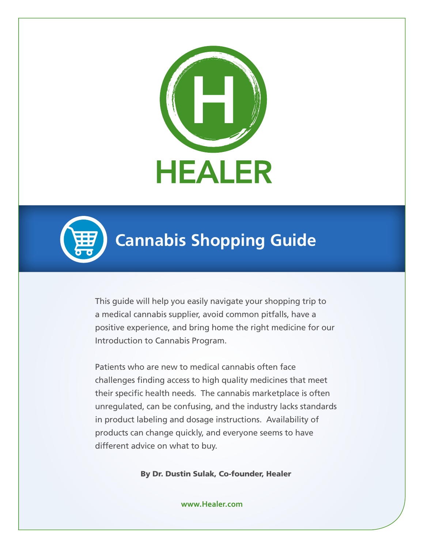



# **Cannabis Shopping Guide**

This guide will help you easily navigate your shopping trip to a medical cannabis supplier, avoid common pitfalls, have a positive experience, and bring home the right medicine for our Introduction to Cannabis Program.

Patients who are new to medical cannabis often face challenges finding access to high quality medicines that meet their specific health needs. The cannabis marketplace is often unregulated, can be confusing, and the industry lacks standards in product labeling and dosage instructions. Availability of products can change quickly, and everyone seems to have different advice on what to buy.

By Dr. Dustin Sulak, Co-founder, Healer

**www.Healer.com**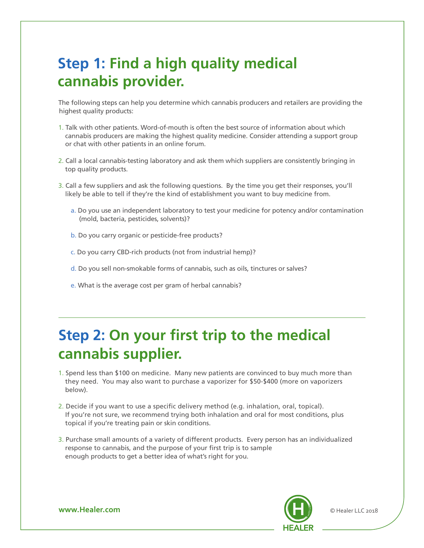### **Step 1: Find a high quality medical cannabis provider.**

The following steps can help you determine which cannabis producers and retailers are providing the highest quality products:

- 1. Talk with other patients. Word-of-mouth is often the best source of information about which cannabis producers are making the highest quality medicine. Consider attending a support group or chat with other patients in an online forum.
- 2. Call a local cannabis-testing laboratory and ask them which suppliers are consistently bringing in top quality products.
- 3. Call a few suppliers and ask the following questions. By the time you get their responses, you'll likely be able to tell if they're the kind of establishment you want to buy medicine from.
	- a. Do you use an independent laboratory to test your medicine for potency and/or contamination (mold, bacteria, pesticides, solvents)?
	- b. Do you carry organic or pesticide-free products?
	- c. Do you carry CBD-rich products (not from industrial hemp)?
	- d. Do you sell non-smokable forms of cannabis, such as oils, tinctures or salves?
	- e. What is the average cost per gram of herbal cannabis?

## **Step 2: On your first trip to the medical cannabis supplier.**

- 1. Spend less than \$100 on medicine. Many new patients are convinced to buy much more than they need. You may also want to purchase a vaporizer for \$50-\$400 (more on vaporizers below).
- 2. Decide if you want to use a specific delivery method (e.g. inhalation, oral, topical). If you're not sure, we recommend trying both inhalation and oral for most conditions, plus topical if you're treating pain or skin conditions.
- 3. Purchase small amounts of a variety of different products. Every person has an individualized response to cannabis, and the purpose of your first trip is to sample enough products to get a better idea of what's right for you.



**www.Healer.com** © Healer LLC 2018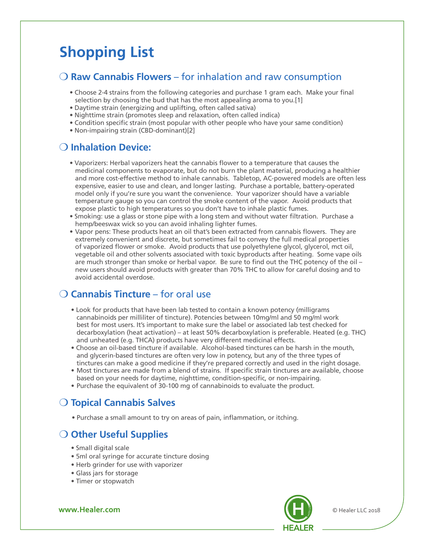## **Shopping List**

#### O Raw Cannabis Flowers – for inhalation and raw consumption

- Choose 2-4 strains from the following categories and purchase 1 gram each. Make your final selection by choosing the bud that has the most appealing aroma to you.[1]
- Daytime strain (energizing and uplifting, often called sativa)
- Nighttime strain (promotes sleep and relaxation, often called indica)
- Condition specific strain (most popular with other people who have your same condition)
- Non-impairing strain (CBD-dominant)[2]

#### **O** Inhalation Device:

- Vaporizers: Herbal vaporizers heat the cannabis flower to a temperature that causes the medicinal components to evaporate, but do not burn the plant material, producing a healthier and more cost-effective method to inhale cannabis. Tabletop, AC-powered models are often less expensive, easier to use and clean, and longer lasting. Purchase a portable, battery-operated model only if you're sure you want the convenience. Your vaporizer should have a variable temperature gauge so you can control the smoke content of the vapor. Avoid products that expose plastic to high temperatures so you don't have to inhale plastic fumes.
- Smoking: use a glass or stone pipe with a long stem and without water filtration. Purchase a hemp/beeswax wick so you can avoid inhaling lighter fumes.
- Vapor pens: These products heat an oil that's been extracted from cannabis flowers. They are extremely convenient and discrete, but sometimes fail to convey the full medical properties of vaporized flower or smoke. Avoid products that use polyethylene glycol, glycerol, mct oil, vegetable oil and other solvents associated with toxic byproducts after heating. Some vape oils are much stronger than smoke or herbal vapor. Be sure to find out the THC potency of the oil – new users should avoid products with greater than 70% THC to allow for careful dosing and to avoid accidental overdose.

#### **O Cannabis Tincture** – for oral use

- Look for products that have been lab tested to contain a known potency (milligrams cannabinoids per milliliter of tincture). Potencies between 10mg/ml and 50 mg/ml work best for most users. It's important to make sure the label or associated lab test checked for decarboxylation (heat activation) – at least 50% decarboxylation is preferable. Heated (e.g. THC) and unheated (e.g. THCA) products have very different medicinal effects.
- Choose an oil-based tincture if available. Alcohol-based tinctures can be harsh in the mouth, and glycerin-based tinctures are often very low in potency, but any of the three types of tinctures can make a good medicine if they're prepared correctly and used in the right dosage.
- Most tinctures are made from a blend of strains. If specific strain tinctures are available, choose based on your needs for daytime, nighttime, condition-specific, or non-impairing.
- Purchase the equivalent of 30-100 mg of cannabinoids to evaluate the product.

### **O** Topical Cannabis Salves

• Purchase a small amount to try on areas of pain, inflammation, or itching.

#### O Other Useful Supplies

- Small digital scale
- 5ml oral syringe for accurate tincture dosing
- Herb grinder for use with vaporizer
- Glass jars for storage
- Timer or stopwatch

**www.Healer.com** © Healer LLC 2018